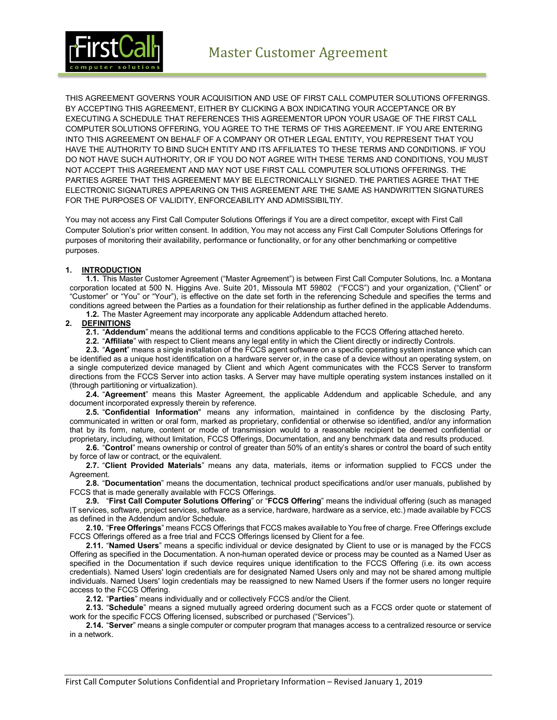

THIS AGREEMENT GOVERNS YOUR ACQUISITION AND USE OF FIRST CALL COMPUTER SOLUTIONS OFFERINGS. BY ACCEPTING THIS AGREEMENT, EITHER BY CLICKING A BOX INDICATING YOUR ACCEPTANCE OR BY EXECUTING A SCHEDULE THAT REFERENCES THIS AGREEMENTOR UPON YOUR USAGE OF THE FIRST CALL COMPUTER SOLUTIONS OFFERING, YOU AGREE TO THE TERMS OF THIS AGREEMENT. IF YOU ARE ENTERING INTO THIS AGREEMENT ON BEHALF OF A COMPANY OR OTHER LEGAL ENTITY, YOU REPRESENT THAT YOU HAVE THE AUTHORITY TO BIND SUCH ENTITY AND ITS AFFILIATES TO THESE TERMS AND CONDITIONS. IF YOU DO NOT HAVE SUCH AUTHORITY, OR IF YOU DO NOT AGREE WITH THESE TERMS AND CONDITIONS, YOU MUST NOT ACCEPT THIS AGREEMENT AND MAY NOT USE FIRST CALL COMPUTER SOLUTIONS OFFERINGS. THE PARTIES AGREE THAT THIS AGREEMENT MAY BE ELECTRONICALLY SIGNED. THE PARTIES AGREE THAT THE ELECTRONIC SIGNATURES APPEARING ON THIS AGREEMENT ARE THE SAME AS HANDWRITTEN SIGNATURES FOR THE PURPOSES OF VALIDITY, ENFORCEABILITY AND ADMISSIBILTIY.

You may not access any First Call Computer Solutions Offerings if You are a direct competitor, except with First Call Computer Solution's prior written consent. In addition, You may not access any First Call Computer Solutions Offerings for purposes of monitoring their availability, performance or functionality, or for any other benchmarking or competitive purposes.

#### **1. INTRODUCTION**

**1.1.** This Master Customer Agreement ("Master Agreement") is between First Call Computer Solutions, Inc. a Montana corporation located at 500 N. Higgins Ave. Suite 201, Missoula MT 59802 ("FCCS") and your organization, ("Client" or "Customer" or "You" or "Your"), is effective on the date set forth in the referencing Schedule and specifies the terms and conditions agreed between the Parties as a foundation for their relationship as further defined in the applicable Addendums.

#### **1.2.** The Master Agreement may incorporate any applicable Addendum attached hereto.

#### **2. DEFINITIONS**

**2.1.** "**Addendum**" means the additional terms and conditions applicable to the FCCS Offering attached hereto.

**2.2.** "**Affiliate**" with respect to Client means any legal entity in which the Client directly or indirectly Controls.

**2.3.** "**Agent**" means a single installation of the FCCS agent software on a specific operating system instance which can be identified as a unique host identification on a hardware server or, in the case of a device without an operating system, on a single computerized device managed by Client and which Agent communicates with the FCCS Server to transform directions from the FCCS Server into action tasks. A Server may have multiple operating system instances installed on it (through partitioning or virtualization).

**2.4.** "**Agreement**" means this Master Agreement, the applicable Addendum and applicable Schedule, and any document incorporated expressly therein by reference.

**2.5.** "**Confidential Information**" means any information, maintained in confidence by the disclosing Party, communicated in written or oral form, marked as proprietary, confidential or otherwise so identified, and/or any information that by its form, nature, content or mode of transmission would to a reasonable recipient be deemed confidential or proprietary, including, without limitation, FCCS Offerings, Documentation, and any benchmark data and results produced.

**2.6.** "**Control**" means ownership or control of greater than 50% of an entity's shares or control the board of such entity by force of law or contract, or the equivalent.

**2.7.** "**Client Provided Materials**" means any data, materials, items or information supplied to FCCS under the Agreement.

**2.8.** "**Documentation**" means the documentation, technical product specifications and/or user manuals, published by FCCS that is made generally available with FCCS Offerings.

**2.9.** "**First Call Computer Solutions Offering**" or "**FCCS Offering**" means the individual offering (such as managed IT services, software, project services, software as a service, hardware, hardware as a service, etc.) made available by FCCS as defined in the Addendum and/or Schedule.

**2.10.** "**Free Offerings**" means FCCS Offerings that FCCS makes available to You free of charge. Free Offerings exclude FCCS Offerings offered as a free trial and FCCS Offerings licensed by Client for a fee.

**2.11.** "**Named Users**" means a specific individual or device designated by Client to use or is managed by the FCCS Offering as specified in the Documentation. A non-human operated device or process may be counted as a Named User as specified in the Documentation if such device requires unique identification to the FCCS Offering (i.e. its own access credentials). Named Users' login credentials are for designated Named Users only and may not be shared among multiple individuals. Named Users' login credentials may be reassigned to new Named Users if the former users no longer require access to the FCCS Offering.

**2.12.** "**Parties**" means individually and or collectively FCCS and/or the Client.

**2.13.** "**Schedule**" means a signed mutually agreed ordering document such as a FCCS order quote or statement of work for the specific FCCS Offering licensed, subscribed or purchased ("Services").

**2.14.** "**Server**" means a single computer or computer program that manages access to a centralized resource or service in a network.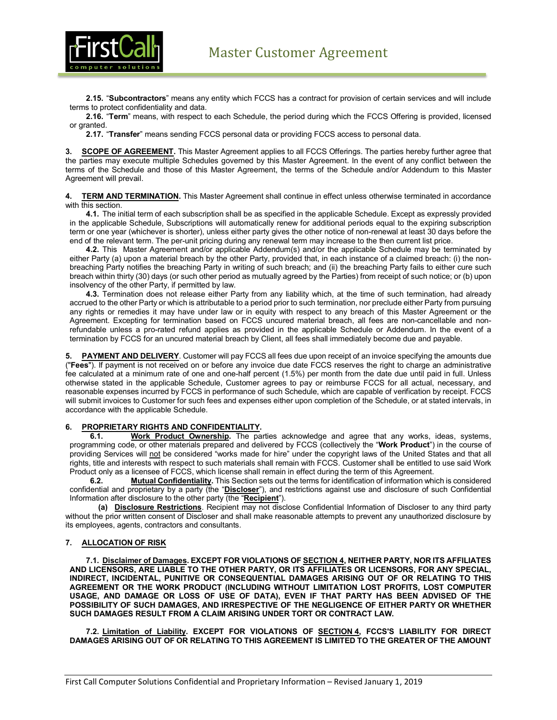

**2.15.** "**Subcontractors**" means any entity which FCCS has a contract for provision of certain services and will include terms to protect confidentiality and data.

**2.16.** "**Term**" means, with respect to each Schedule, the period during which the FCCS Offering is provided, licensed or granted.

**2.17.** "**Transfer**" means sending FCCS personal data or providing FCCS access to personal data.

**3. SCOPE OF AGREEMENT.** This Master Agreement applies to all FCCS Offerings. The parties hereby further agree that the parties may execute multiple Schedules governed by this Master Agreement. In the event of any conflict between the terms of the Schedule and those of this Master Agreement, the terms of the Schedule and/or Addendum to this Master Agreement will prevail.

**4. TERM AND TERMINATION.** This Master Agreement shall continue in effect unless otherwise terminated in accordance with this section.

**4.1.** The initial term of each subscription shall be as specified in the applicable Schedule. Except as expressly provided in the applicable Schedule, Subscriptions will automatically renew for additional periods equal to the expiring subscription term or one year (whichever is shorter), unless either party gives the other notice of non-renewal at least 30 days before the end of the relevant term. The per-unit pricing during any renewal term may increase to the then current list price.

**4.2.** This Master Agreement and/or applicable Addendum(s) and/or the applicable Schedule may be terminated by either Party (a) upon a material breach by the other Party, provided that, in each instance of a claimed breach: (i) the nonbreaching Party notifies the breaching Party in writing of such breach; and (ii) the breaching Party fails to either cure such breach within thirty (30) days (or such other period as mutually agreed by the Parties) from receipt of such notice; or (b) upon insolvency of the other Party, if permitted by law.

**4.3.** Termination does not release either Party from any liability which, at the time of such termination, had already accrued to the other Party or which is attributable to a period prior to such termination, nor preclude either Party from pursuing any rights or remedies it may have under law or in equity with respect to any breach of this Master Agreement or the Agreement. Excepting for termination based on FCCS uncured material breach, all fees are non-cancellable and nonrefundable unless a pro-rated refund applies as provided in the applicable Schedule or Addendum. In the event of a termination by FCCS for an uncured material breach by Client, all fees shall immediately become due and payable.

**5. PAYMENT AND DELIVERY**. Customer will pay FCCS all fees due upon receipt of an invoice specifying the amounts due ("**Fees**"). If payment is not received on or before any invoice due date FCCS reserves the right to charge an administrative fee calculated at a minimum rate of one and one-half percent (1.5%) per month from the date due until paid in full. Unless otherwise stated in the applicable Schedule, Customer agrees to pay or reimburse FCCS for all actual, necessary, and reasonable expenses incurred by FCCS in performance of such Schedule, which are capable of verification by receipt. FCCS will submit invoices to Customer for such fees and expenses either upon completion of the Schedule, or at stated intervals, in accordance with the applicable Schedule.

#### **6. PROPRIETARY RIGHTS AND CONFIDENTIALITY.**

**6.1. Work Product Ownership.** The parties acknowledge and agree that any works, ideas, systems, programming code, or other materials prepared and delivered by FCCS (collectively the "**Work Product**") in the course of providing Services will not be considered "works made for hire" under the copyright laws of the United States and that all rights, title and interests with respect to such materials shall remain with FCCS. Customer shall be entitled to use said Work Product only as a licensee of FCCS, which license shall remain in effect during the term of this Agreement.

**6.2. Mutual Confidentiality.** This Section sets out the terms for identification of information which is considered confidential and proprietary by a party (the "**Discloser**"), and restrictions against use and disclosure of such Confidential Information after disclosure to the other party (the "**Recipient**").

**(a) Disclosure Restrictions**. Recipient may not disclose Confidential Information of Discloser to any third party without the prior written consent of Discloser and shall make reasonable attempts to prevent any unauthorized disclosure by its employees, agents, contractors and consultants.

#### **7. ALLOCATION OF RISK**

**7.1. Disclaimer of Damages. EXCEPT FOR VIOLATIONS OF SECTION 4, NEITHER PARTY, NOR ITS AFFILIATES AND LICENSORS, ARE LIABLE TO THE OTHER PARTY, OR ITS AFFILIATES OR LICENSORS, FOR ANY SPECIAL, INDIRECT, INCIDENTAL, PUNITIVE OR CONSEQUENTIAL DAMAGES ARISING OUT OF OR RELATING TO THIS AGREEMENT OR THE WORK PRODUCT (INCLUDING WITHOUT LIMITATION LOST PROFITS, LOST COMPUTER USAGE, AND DAMAGE OR LOSS OF USE OF DATA), EVEN IF THAT PARTY HAS BEEN ADVISED OF THE POSSIBILITY OF SUCH DAMAGES, AND IRRESPECTIVE OF THE NEGLIGENCE OF EITHER PARTY OR WHETHER SUCH DAMAGES RESULT FROM A CLAIM ARISING UNDER TORT OR CONTRACT LAW.**

**7.2. Limitation of Liability. EXCEPT FOR VIOLATIONS OF SECTION 4, FCCS'S LIABILITY FOR DIRECT DAMAGES ARISING OUT OF OR RELATING TO THIS AGREEMENT IS LIMITED TO THE GREATER OF THE AMOUNT**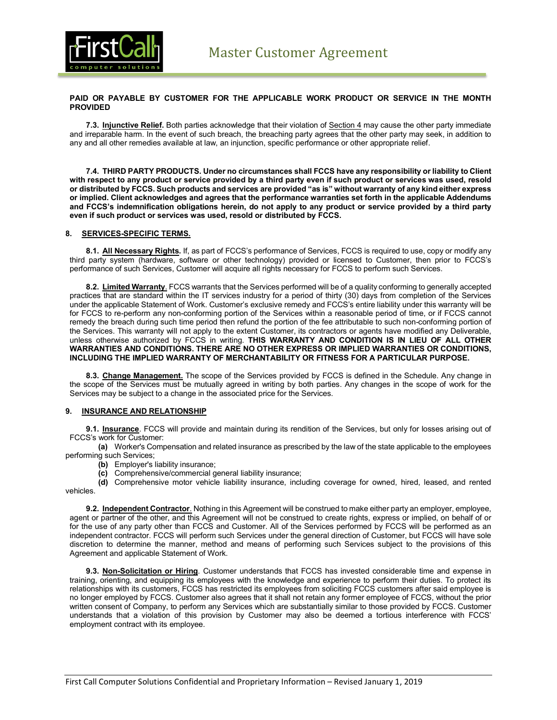

#### **PAID OR PAYABLE BY CUSTOMER FOR THE APPLICABLE WORK PRODUCT OR SERVICE IN THE MONTH PROVIDED**

**7.3. Injunctive Relief.** Both parties acknowledge that their violation of Section 4 may cause the other party immediate and irreparable harm. In the event of such breach, the breaching party agrees that the other party may seek, in addition to any and all other remedies available at law, an injunction, specific performance or other appropriate relief.

**7.4. THIRD PARTY PRODUCTS. Under no circumstances shall FCCS have any responsibility or liability to Client with respect to any product or service provided by a third party even if such product or services was used, resold or distributed by FCCS. Such products and services are provided "as is" without warranty of any kind either express or implied. Client acknowledges and agrees that the performance warranties set forth in the applicable Addendums and FCCS's indemnification obligations herein, do not apply to any product or service provided by a third party even if such product or services was used, resold or distributed by FCCS.**

#### **8. SERVICES-SPECIFIC TERMS.**

**8.1. All Necessary Rights.** If, as part of FCCS's performance of Services, FCCS is required to use, copy or modify any third party system (hardware, software or other technology) provided or licensed to Customer, then prior to FCCS's performance of such Services, Customer will acquire all rights necessary for FCCS to perform such Services.

**8.2. Limited Warranty**. FCCS warrants that the Services performed will be of a quality conforming to generally accepted practices that are standard within the IT services industry for a period of thirty (30) days from completion of the Services under the applicable Statement of Work. Customer's exclusive remedy and FCCS's entire liability under this warranty will be for FCCS to re-perform any non-conforming portion of the Services within a reasonable period of time, or if FCCS cannot remedy the breach during such time period then refund the portion of the fee attributable to such non-conforming portion of the Services. This warranty will not apply to the extent Customer, its contractors or agents have modified any Deliverable, unless otherwise authorized by FCCS in writing. **THIS WARRANTY AND CONDITION IS IN LIEU OF ALL OTHER WARRANTIES AND CONDITIONS. THERE ARE NO OTHER EXPRESS OR IMPLIED WARRANTIES OR CONDITIONS, INCLUDING THE IMPLIED WARRANTY OF MERCHANTABILITY OR FITNESS FOR A PARTICULAR PURPOSE.**

**8.3. Change Management.** The scope of the Services provided by FCCS is defined in the Schedule. Any change in the scope of the Services must be mutually agreed in writing by both parties. Any changes in the scope of work for the Services may be subject to a change in the associated price for the Services.

#### **9. INSURANCE AND RELATIONSHIP**

**9.1. Insurance**. FCCS will provide and maintain during its rendition of the Services, but only for losses arising out of FCCS's work for Customer:

**(a)** Worker's Compensation and related insurance as prescribed by the law of the state applicable to the employees performing such Services;

**(b)** Employer's liability insurance;

**(c)** Comprehensive/commercial general liability insurance;

**(d)** Comprehensive motor vehicle liability insurance, including coverage for owned, hired, leased, and rented vehicles.

**9.2. Independent Contractor**. Nothing in this Agreement will be construed to make either party an employer, employee, agent or partner of the other, and this Agreement will not be construed to create rights, express or implied, on behalf of or for the use of any party other than FCCS and Customer. All of the Services performed by FCCS will be performed as an independent contractor. FCCS will perform such Services under the general direction of Customer, but FCCS will have sole discretion to determine the manner, method and means of performing such Services subject to the provisions of this Agreement and applicable Statement of Work.

**9.3. Non-Solicitation or Hiring**. Customer understands that FCCS has invested considerable time and expense in training, orienting, and equipping its employees with the knowledge and experience to perform their duties. To protect its relationships with its customers, FCCS has restricted its employees from soliciting FCCS customers after said employee is no longer employed by FCCS. Customer also agrees that it shall not retain any former employee of FCCS, without the prior written consent of Company, to perform any Services which are substantially similar to those provided by FCCS. Customer understands that a violation of this provision by Customer may also be deemed a tortious interference with FCCS' employment contract with its employee.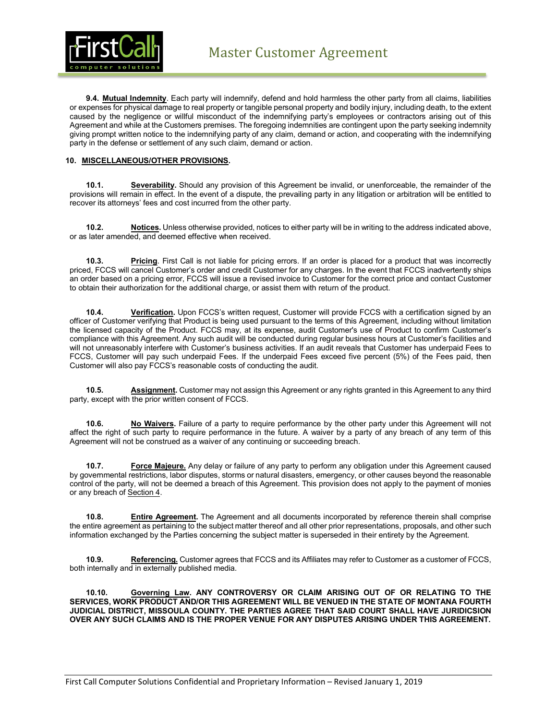

**9.4. Mutual Indemnity**. Each party will indemnify, defend and hold harmless the other party from all claims, liabilities or expenses for physical damage to real property or tangible personal property and bodily injury, including death, to the extent caused by the negligence or willful misconduct of the indemnifying party's employees or contractors arising out of this Agreement and while at the Customers premises. The foregoing indemnities are contingent upon the party seeking indemnity giving prompt written notice to the indemnifying party of any claim, demand or action, and cooperating with the indemnifying party in the defense or settlement of any such claim, demand or action.

#### **10. MISCELLANEOUS/OTHER PROVISIONS.**

**10.1. Severability.** Should any provision of this Agreement be invalid, or unenforceable, the remainder of the provisions will remain in effect. In the event of a dispute, the prevailing party in any litigation or arbitration will be entitled to recover its attorneys' fees and cost incurred from the other party.

**10.2. Notices.** Unless otherwise provided, notices to either party will be in writing to the address indicated above, or as later amended, and deemed effective when received.

**10.3. Pricing**. First Call is not liable for pricing errors. If an order is placed for a product that was incorrectly priced, FCCS will cancel Customer's order and credit Customer for any charges. In the event that FCCS inadvertently ships an order based on a pricing error, FCCS will issue a revised invoice to Customer for the correct price and contact Customer to obtain their authorization for the additional charge, or assist them with return of the product.

**10.4. Verification.** Upon FCCS's written request, Customer will provide FCCS with a certification signed by an officer of Customer verifying that Product is being used pursuant to the terms of this Agreement, including without limitation the licensed capacity of the Product. FCCS may, at its expense, audit Customer's use of Product to confirm Customer's compliance with this Agreement. Any such audit will be conducted during regular business hours at Customer's facilities and will not unreasonably interfere with Customer's business activities. If an audit reveals that Customer has underpaid Fees to FCCS, Customer will pay such underpaid Fees. If the underpaid Fees exceed five percent (5%) of the Fees paid, then Customer will also pay FCCS's reasonable costs of conducting the audit.

**10.5. Assignment.** Customer may not assign this Agreement or any rights granted in this Agreement to any third party, except with the prior written consent of FCCS.

**10.6. No Waivers.** Failure of a party to require performance by the other party under this Agreement will not affect the right of such party to require performance in the future. A waiver by a party of any breach of any term of this Agreement will not be construed as a waiver of any continuing or succeeding breach.

**10.7. Force Majeure.** Any delay or failure of any party to perform any obligation under this Agreement caused by governmental restrictions, labor disputes, storms or natural disasters, emergency, or other causes beyond the reasonable control of the party, will not be deemed a breach of this Agreement. This provision does not apply to the payment of monies or any breach of Section 4.

**10.8. Entire Agreement.** The Agreement and all documents incorporated by reference therein shall comprise the entire agreement as pertaining to the subject matter thereof and all other prior representations, proposals, and other such information exchanged by the Parties concerning the subject matter is superseded in their entirety by the Agreement.

**10.9. Referencing.** Customer agrees that FCCS and its Affiliates may refer to Customer as a customer of FCCS, both internally and in externally published media.

**10.10. Governing Law. ANY CONTROVERSY OR CLAIM ARISING OUT OF OR RELATING TO THE SERVICES, WORK PRODUCT AND/OR THIS AGREEMENT WILL BE VENUED IN THE STATE OF MONTANA FOURTH JUDICIAL DISTRICT, MISSOULA COUNTY. THE PARTIES AGREE THAT SAID COURT SHALL HAVE JURIDICSION OVER ANY SUCH CLAIMS AND IS THE PROPER VENUE FOR ANY DISPUTES ARISING UNDER THIS AGREEMENT.**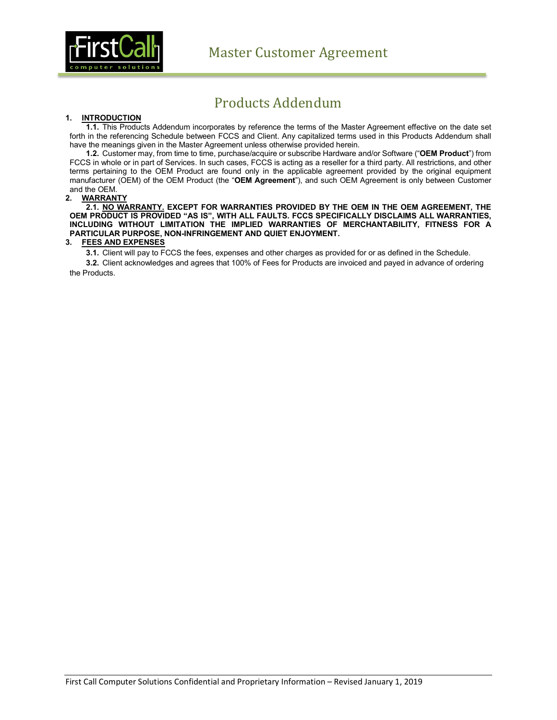

# Products Addendum

#### **1. INTRODUCTION**

**1.1.** This Products Addendum incorporates by reference the terms of the Master Agreement effective on the date set forth in the referencing Schedule between FCCS and Client. Any capitalized terms used in this Products Addendum shall have the meanings given in the Master Agreement unless otherwise provided herein.

**1.2.** Customer may, from time to time, purchase/acquire or subscribe Hardware and/or Software ("**OEM Product**") from FCCS in whole or in part of Services. In such cases, FCCS is acting as a reseller for a third party. All restrictions, and other terms pertaining to the OEM Product are found only in the applicable agreement provided by the original equipment manufacturer (OEM) of the OEM Product (the "**OEM Agreement**"), and such OEM Agreement is only between Customer and the OEM.

#### **2. WARRANTY**

**2.1. NO WARRANTY. EXCEPT FOR WARRANTIES PROVIDED BY THE OEM IN THE OEM AGREEMENT, THE OEM PRODUCT IS PROVIDED "AS IS", WITH ALL FAULTS. FCCS SPECIFICALLY DISCLAIMS ALL WARRANTIES, INCLUDING WITHOUT LIMITATION THE IMPLIED WARRANTIES OF MERCHANTABILITY, FITNESS FOR A PARTICULAR PURPOSE, NON-INFRINGEMENT AND QUIET ENJOYMENT.**

#### **3. FEES AND EXPENSES**

**3.1.** Client will pay to FCCS the fees, expenses and other charges as provided for or as defined in the Schedule.

**3.2.** Client acknowledges and agrees that 100% of Fees for Products are invoiced and payed in advance of ordering the Products.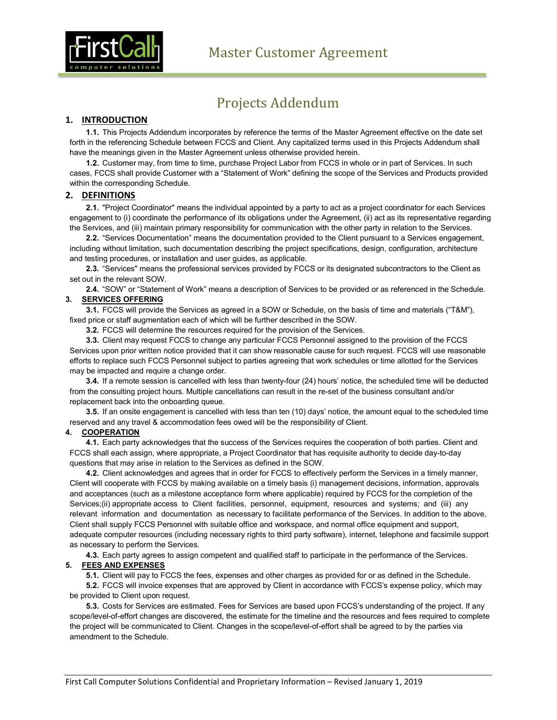

# Projects Addendum

### **1. INTRODUCTION**

**1.1.** This Projects Addendum incorporates by reference the terms of the Master Agreement effective on the date set forth in the referencing Schedule between FCCS and Client. Any capitalized terms used in this Projects Addendum shall have the meanings given in the Master Agreement unless otherwise provided herein.

**1.2.** Customer may, from time to time, purchase Project Labor from FCCS in whole or in part of Services. In such cases, FCCS shall provide Customer with a "Statement of Work" defining the scope of the Services and Products provided within the corresponding Schedule.

### **2. DEFINITIONS**

**2.1.** "Project Coordinator" means the individual appointed by a party to act as a project coordinator for each Services engagement to (i) coordinate the performance of its obligations under the Agreement, (ii) act as its representative regarding the Services, and (iii) maintain primary responsibility for communication with the other party in relation to the Services.

**2.2.** "Services Documentation" means the documentation provided to the Client pursuant to a Services engagement, including without limitation, such documentation describing the project specifications, design, configuration, architecture and testing procedures, or installation and user guides, as applicable.

**2.3.** "Services" means the professional services provided by FCCS or its designated subcontractors to the Client as set out in the relevant SOW.

**2.4.** "SOW" or "Statement of Work" means a description of Services to be provided or as referenced in the Schedule. **3. SERVICES OFFERING**

# **3.1.** FCCS will provide the Services as agreed in a SOW or Schedule, on the basis of time and materials ("T&M"),

fixed price or staff augmentation each of which will be further described in the SOW.

**3.2.** FCCS will determine the resources required for the provision of the Services.

**3.3.** Client may request FCCS to change any particular FCCS Personnel assigned to the provision of the FCCS Services upon prior written notice provided that it can show reasonable cause for such request. FCCS will use reasonable efforts to replace such FCCS Personnel subject to parties agreeing that work schedules or time allotted for the Services may be impacted and require a change order.

**3.4.** If a remote session is cancelled with less than twenty-four (24) hours' notice, the scheduled time will be deducted from the consulting project hours. Multiple cancellations can result in the re-set of the business consultant and/or replacement back into the onboarding queue.

**3.5.** If an onsite engagement is cancelled with less than ten (10) days' notice, the amount equal to the scheduled time reserved and any travel & accommodation fees owed will be the responsibility of Client.

#### **4. COOPERATION**

**4.1.** Each party acknowledges that the success of the Services requires the cooperation of both parties. Client and FCCS shall each assign, where appropriate, a Project Coordinator that has requisite authority to decide day-to-day questions that may arise in relation to the Services as defined in the SOW.

**4.2.** Client acknowledges and agrees that in order for FCCS to effectively perform the Services in a timely manner, Client will cooperate with FCCS by making available on a timely basis (i) management decisions, information, approvals and acceptances (such as a milestone acceptance form where applicable) required by FCCS for the completion of the Services;(ii) appropriate access to Client facilities, personnel, equipment, resources and systems; and (iii) any relevant information and documentation as necessary to facilitate performance of the Services. In addition to the above, Client shall supply FCCS Personnel with suitable office and workspace, and normal office equipment and support, adequate computer resources (including necessary rights to third party software), internet, telephone and facsimile support as necessary to perform the Services.

**4.3.** Each party agrees to assign competent and qualified staff to participate in the performance of the Services.

#### **5. FEES AND EXPENSES**

**5.1.** Client will pay to FCCS the fees, expenses and other charges as provided for or as defined in the Schedule.

**5.2.** FCCS will invoice expenses that are approved by Client in accordance with FCCS's expense policy, which may be provided to Client upon request.

**5.3.** Costs for Services are estimated. Fees for Services are based upon FCCS's understanding of the project. If any scope/level-of-effort changes are discovered, the estimate for the timeline and the resources and fees required to complete the project will be communicated to Client. Changes in the scope/level-of-effort shall be agreed to by the parties via amendment to the Schedule.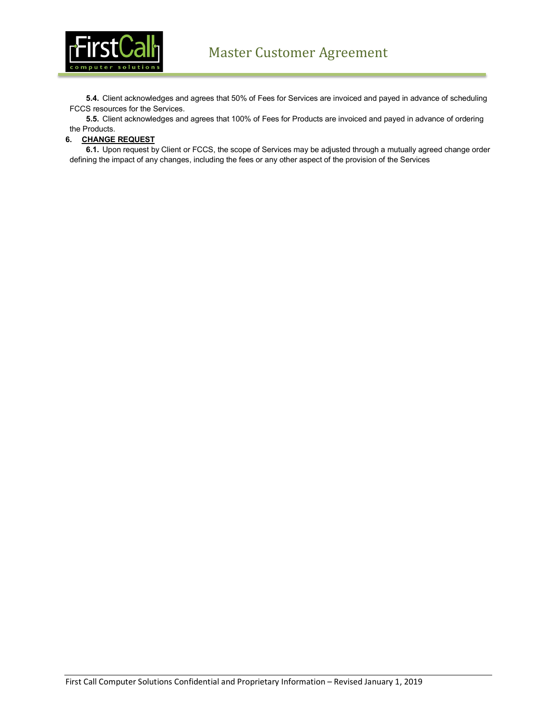

**5.4.** Client acknowledges and agrees that 50% of Fees for Services are invoiced and payed in advance of scheduling FCCS resources for the Services.

**5.5.** Client acknowledges and agrees that 100% of Fees for Products are invoiced and payed in advance of ordering the Products.

#### **6. CHANGE REQUEST**

**6.1.** Upon request by Client or FCCS, the scope of Services may be adjusted through a mutually agreed change order defining the impact of any changes, including the fees or any other aspect of the provision of the Services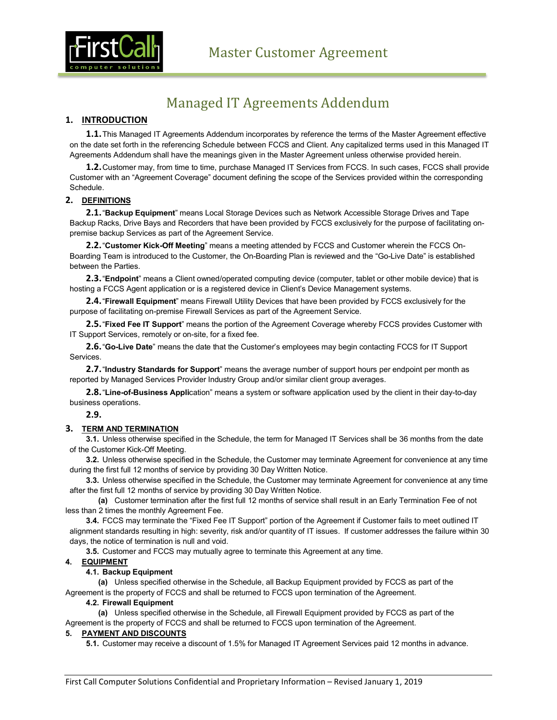

# Managed IT Agreements Addendum

## **1. INTRODUCTION**

**1.1.**This Managed IT Agreements Addendum incorporates by reference the terms of the Master Agreement effective on the date set forth in the referencing Schedule between FCCS and Client. Any capitalized terms used in this Managed IT Agreements Addendum shall have the meanings given in the Master Agreement unless otherwise provided herein.

**1.2.**Customer may, from time to time, purchase Managed IT Services from FCCS. In such cases, FCCS shall provide Customer with an "Agreement Coverage" document defining the scope of the Services provided within the corresponding Schedule.

#### **2. DEFINITIONS**

**2.1.**"**Backup Equipment**" means Local Storage Devices such as Network Accessible Storage Drives and Tape Backup Racks, Drive Bays and Recorders that have been provided by FCCS exclusively for the purpose of facilitating onpremise backup Services as part of the Agreement Service.

**2.2.**"**Customer Kick-Off Meeting**" means a meeting attended by FCCS and Customer wherein the FCCS On-Boarding Team is introduced to the Customer, the On-Boarding Plan is reviewed and the "Go-Live Date" is established between the Parties.

**2.3.**"**Endpoint**" means a Client owned/operated computing device (computer, tablet or other mobile device) that is hosting a FCCS Agent application or is a registered device in Client's Device Management systems.

**2.4.**"**Firewall Equipment**" means Firewall Utility Devices that have been provided by FCCS exclusively for the purpose of facilitating on-premise Firewall Services as part of the Agreement Service.

**2.5.**"**Fixed Fee IT Support**" means the portion of the Agreement Coverage whereby FCCS provides Customer with IT Support Services, remotely or on-site, for a fixed fee.

**2.6.**"**Go-Live Date**" means the date that the Customer's employees may begin contacting FCCS for IT Support Services.

**2.7.**"**Industry Standards for Support**" means the average number of support hours per endpoint per month as reported by Managed Services Provider Industry Group and/or similar client group averages.

**2.8.**"**Line-of-Business Appli**cation" means a system or software application used by the client in their day-to-day business operations.

# **2.9.**

# **3. TERM AND TERMINATION**

**3.1.** Unless otherwise specified in the Schedule, the term for Managed IT Services shall be 36 months from the date of the Customer Kick-Off Meeting.

**3.2.** Unless otherwise specified in the Schedule, the Customer may terminate Agreement for convenience at any time during the first full 12 months of service by providing 30 Day Written Notice.

**3.3.** Unless otherwise specified in the Schedule, the Customer may terminate Agreement for convenience at any time after the first full 12 months of service by providing 30 Day Written Notice.

**(a)** Customer termination after the first full 12 months of service shall result in an Early Termination Fee of not less than 2 times the monthly Agreement Fee.

**3.4.** FCCS may terminate the "Fixed Fee IT Support" portion of the Agreement if Customer fails to meet outlined IT alignment standards resulting in high: severity, risk and/or quantity of IT issues. If customer addresses the failure within 30 days, the notice of termination is null and void.

**3.5.** Customer and FCCS may mutually agree to terminate this Agreement at any time.

# **4. EQUIPMENT**

# **4.1. Backup Equipment**

**(a)** Unless specified otherwise in the Schedule, all Backup Equipment provided by FCCS as part of the Agreement is the property of FCCS and shall be returned to FCCS upon termination of the Agreement.

# **4.2. Firewall Equipment**

**(a)** Unless specified otherwise in the Schedule, all Firewall Equipment provided by FCCS as part of the Agreement is the property of FCCS and shall be returned to FCCS upon termination of the Agreement.

# **5. PAYMENT AND DISCOUNTS**

**5.1.** Customer may receive a discount of 1.5% for Managed IT Agreement Services paid 12 months in advance.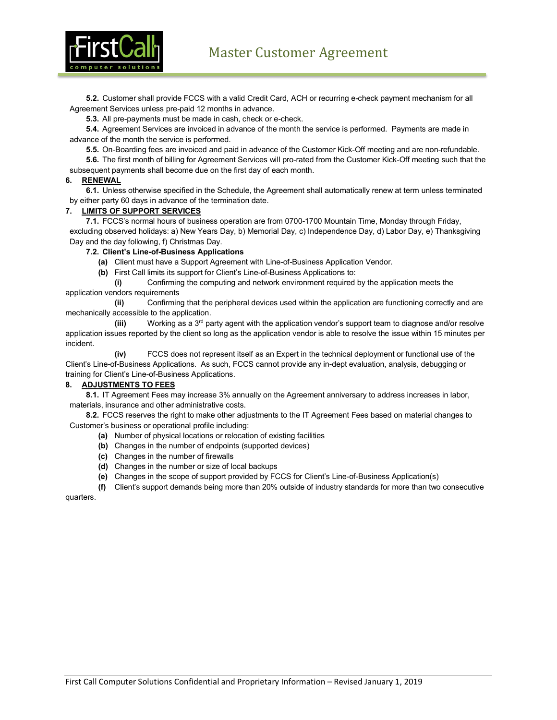

**5.2.** Customer shall provide FCCS with a valid Credit Card, ACH or recurring e-check payment mechanism for all Agreement Services unless pre-paid 12 months in advance.

**5.3.** All pre-payments must be made in cash, check or e-check.

**5.4.** Agreement Services are invoiced in advance of the month the service is performed. Payments are made in advance of the month the service is performed.

**5.5.** On-Boarding fees are invoiced and paid in advance of the Customer Kick-Off meeting and are non-refundable.

**5.6.** The first month of billing for Agreement Services will pro-rated from the Customer Kick-Off meeting such that the subsequent payments shall become due on the first day of each month.

#### **6. RENEWAL**

**6.1.** Unless otherwise specified in the Schedule, the Agreement shall automatically renew at term unless terminated by either party 60 days in advance of the termination date.

### **7. LIMITS OF SUPPORT SERVICES**

**7.1.** FCCS's normal hours of business operation are from 0700-1700 Mountain Time, Monday through Friday, excluding observed holidays: a) New Years Day, b) Memorial Day, c) Independence Day, d) Labor Day, e) Thanksgiving Day and the day following, f) Christmas Day.

**7.2. Client's Line-of-Business Applications**

**(a)** Client must have a Support Agreement with Line-of-Business Application Vendor.

**(b)** First Call limits its support for Client's Line-of-Business Applications to:

**(i)** Confirming the computing and network environment required by the application meets the application vendors requirements

**(ii)** Confirming that the peripheral devices used within the application are functioning correctly and are mechanically accessible to the application.

**(iii)** Working as a 3rd party agent with the application vendor's support team to diagnose and/or resolve application issues reported by the client so long as the application vendor is able to resolve the issue within 15 minutes per incident.

**(iv)** FCCS does not represent itself as an Expert in the technical deployment or functional use of the Client's Line-of-Business Applications. As such, FCCS cannot provide any in-dept evaluation, analysis, debugging or training for Client's Line-of-Business Applications.

#### **8. ADJUSTMENTS TO FEES**

**8.1.** IT Agreement Fees may increase 3% annually on the Agreement anniversary to address increases in labor, materials, insurance and other administrative costs.

**8.2.** FCCS reserves the right to make other adjustments to the IT Agreement Fees based on material changes to Customer's business or operational profile including:

- **(a)** Number of physical locations or relocation of existing facilities
- **(b)** Changes in the number of endpoints (supported devices)
- **(c)** Changes in the number of firewalls
- **(d)** Changes in the number or size of local backups
- **(e)** Changes in the scope of support provided by FCCS for Client's Line-of-Business Application(s)

**(f)** Client's support demands being more than 20% outside of industry standards for more than two consecutive quarters.